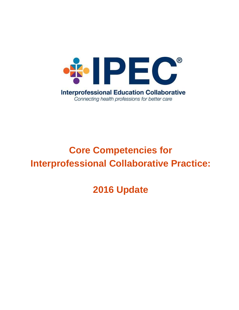

# **Core Competencies for Interprofessional Collaborative Practice:**

**2016 Update**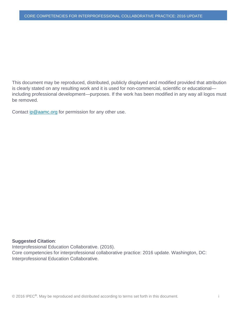This document may be reproduced, distributed, publicly displayed and modified provided that attribution is clearly stated on any resulting work and it is used for non-commercial, scientific or educational including professional development—purposes. If the work has been modified in any way all logos must be removed.

Contact ip @aamc.org for permission for any other use.

#### **Suggested Citation**:

Interprofessional Education Collaborative. (2016). Core competencies for interprofessional collaborative practice: 2016 update. Washington, DC: Interprofessional Education Collaborative.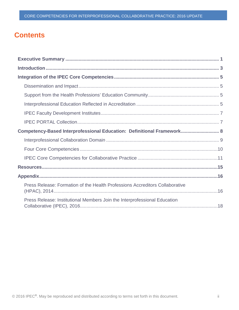## **Contents**

| Competency-Based Interprofessional Education: Definitional Framework 8       |  |
|------------------------------------------------------------------------------|--|
|                                                                              |  |
|                                                                              |  |
|                                                                              |  |
|                                                                              |  |
|                                                                              |  |
| Press Release: Formation of the Health Professions Accreditors Collaborative |  |
| Press Release: Institutional Members Join the Interprofessional Education    |  |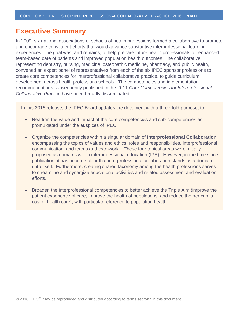## <span id="page-3-0"></span>**Executive Summary**

In 2009, six national associations of schools of health professions formed a collaborative to promote and encourage constituent efforts that would advance substantive interprofessional learning experiences. The goal was, and remains, to help prepare future health professionals for enhanced team-based care of patients and improved population health outcomes. The collaborative, representing dentistry, nursing, medicine, osteopathic medicine, pharmacy, and public health, convened an expert panel of representatives from each of the six IPEC sponsor professions to create core competencies for interprofessional collaborative practice, to guide curriculum development across health professions schools. The competencies and implementation recommendations subsequently published in the 2011 *Core Competencies for Interprofessional Collaborative Practice* have been broadly disseminated.

In this 2016 release, the IPEC Board updates the document with a three-fold purpose, to:

- Reaffirm the value and impact of the core competencies and sub-competencies as promulgated under the auspices of IPEC.
- Organize the competencies within a singular domain of **Interprofessional Collaboration**, encompassing the topics of values and ethics, roles and responsibilities, interprofessional communication, and teams and teamwork. These four topical areas were initially proposed as domains within interprofessional education (IPE). However, in the time since publication, it has become clear that interprofessional collaboration stands as a domain unto itself. Furthermore, creating shared taxonomy among the health professions serves to streamline and synergize educational activities and related assessment and evaluation efforts.
- Broaden the interprofessional competencies to better achieve the Triple Aim (improve the patient experience of care, improve the health of populations, and reduce the per capita cost of health care), with particular reference to population health.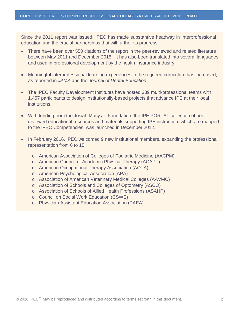Since the 2011 report was issued, IPEC has made substantive headway in interprofessional education and the crucial partnerships that will further its progress:

- There have been over 550 citations of the report in the peer-reviewed and related literature between May 2011 and December 2015. It has also been translated into several languages and used in professional development by the health insurance industry.
- Meaningful interprofessional learning experiences in the required curriculum has increased, as reported in *JAMA* and the *Journal of Dental Education*.
- The IPEC Faculty Development Institutes have hosted 339 multi-professional teams with 1,457 participants to design institutionally-based projects that advance IPE at their local institutions.
- With funding from the Josiah Macy Jr. Foundation, the IPE PORTAL collection of peerreviewed educational resources and materials supporting IPE instruction, which are mapped to the IPEC Competencies, was launched in December 2012.
- <span id="page-4-0"></span>• In February 2016, IPEC welcomed 9 new institutional members, expanding the professional representation from 6 to 15:
	- o American Association of Colleges of Podiatric Medicine (AACPM)
	- o American Council of Academic Physical Therapy (ACAPT)
	- o American Occupational Therapy Association (AOTA)
	- o American Psychological Association (APA)
	- o Association of American Veterinary Medical Colleges (AAVMC)
	- o Association of Schools and Colleges of Optometry (ASCO)
	- o Association of Schools of Allied Health Professions (ASAHP)
	- o Council on Social Work Education (CSWE)
	- o Physician Assistant Education Association (PAEA)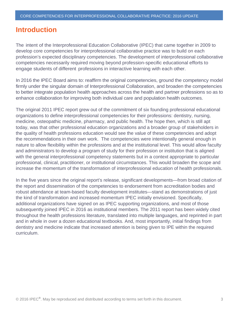## **Introduction**

The intent of the Interprofessional Education Collaborative (IPEC) that came together in 2009 to develop core competencies for interprofessional collaborative practice was to build on each profession's expected disciplinary competencies. The development of interprofessional collaborative competencies necessarily required moving beyond profession-specific educational efforts to engage students of different professions in interactive learning with each other.

In 2016 the IPEC Board aims to: reaffirm the original competencies, ground the competency model firmly under the singular domain of Interprofessional Collaboration, and broaden the competencies to better integrate population health approaches across the health and partner professions so as to enhance collaboration for improving both individual care and population health outcomes.

The original 2011 IPEC report grew out of the commitment of six founding professional educational organizations to define interprofessional competencies for their professions: dentistry, nursing, medicine, osteopathic medicine, pharmacy, and public health. The hope then, which is still apt today, was that other professional education organizations and a broader group of stakeholders in the quality of health professions education would see the value of these competencies and adopt the recommendations in their own work. The competencies were intentionally general enough in nature to allow flexibility within the professions and at the institutional level. This would allow faculty and administrators to develop a program of study for their profession or institution that is aligned with the general interprofessional competency statements but in a context appropriate to particular professional, clinical, practitioner, or institutional circumstances. This would broaden the scope and increase the momentum of the transformation of interprofessional education of health professionals.

In the five years since the original report's release, significant developments—from broad citation of the report and dissemination of the competencies to endorsement from accreditation bodies and robust attendance at team-based faculty development institutes—stand as demonstrations of just the kind of transformation and increased momentum IPEC initially envisioned. Specifically, additional organizations have signed on as IPEC supporting organizations, and most of those subsequently joined IPEC in 2016 as institutional members. The 2011 report has been widely cited throughout the health professions literature, translated into multiple languages, and reprinted in part and in whole in over a dozen educational textbooks. And, most importantly, initial findings from dentistry and medicine indicate that increased attention is being given to IPE within the required curriculum.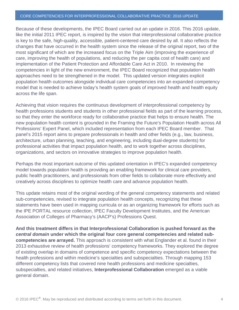#### CORE COMPETENCIES FOR INTERPROFESSIONAL COLLABORATIVE PRACTICE: 2016 UPDATE

Because of these developments, the IPEC Board carried out an update in 2016. This 2016 update, like the initial 2011 IPEC report, is inspired by the vision that interprofessional collaborative practice is key to the safe, high-quality, accessible, patient-centered care desired by all. It also reflects the changes that have occurred in the health system since the release of the original report, two of the most significant of which are the increased focus on the Triple Aim (improving the experience of care, improving the health of populations, and reducing the per capita cost of health care) and implementation of the Patient Protection and Affordable Care Act in 2010. In reviewing the competencies in light of the new environment, the IPEC Board recognized that population health approaches need to be strengthened in the model. This updated version integrates explicit population health outcomes alongside individual care competencies into an expanded competency model that is needed to achieve today's health system goals of improved health and health equity across the life span.

Achieving that vision requires the continuous development of interprofessional competency by health professions students and students in other professional fields as part of the learning process, so that they enter the workforce ready for collaborative practice that helps to ensure health. The new population health content is grounded in the Framing the Future's Population Health across All Professions' Expert Panel, which included representation from each IPEC Board member. That panel's 2015 report aims to prepare professionals in health and other fields (e.g., law, business, architecture, urban planning, teaching, and engineering, including dual-degree students) for professional activities that impact population health, and to work together across disciplines, organizations, and sectors on innovative strategies to improve population health.

Perhaps the most important outcome of this updated orientation in IPEC's expanded competency model towards population health is providing an enabling framework for clinical care providers, public health practitioners, and professionals from other fields to collaborate more effectively and creatively across disciplines to optimize health care and advance population health.

This update retains most of the original wording of the general competency statements and related sub-competencies, revised to integrate population health concepts, recognizing that these statements have been used in mapping curricula or as an organizing framework for efforts such as the IPE PORTAL resource collection, IPEC Faculty Development Institutes, and the American Association of Colleges of Pharmacy's (AACP's) Professions Quest.

<span id="page-6-0"></span>**And this treatment differs in that Interprofessional Collaboration is pushed forward as the**  *central domain* **under which the original four core general competencies and related subcompetencies are arrayed.** This approach is consistent with what Englander et al. found in their 2013 exhaustive review of health professions' competency frameworks. They explored the degree of existing overlap in domains of competence and specific competency expectations between the health professions and within medicine's specialties and subspecialties. Through mapping 153 different competency lists that covered nine health professions and medicine specialties, subspecialties, and related initiatives, **Interprofessional Collaboration** emerged as a viable general domain.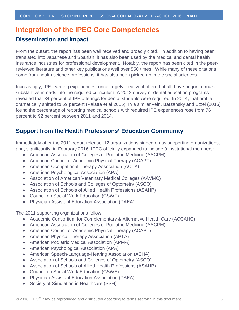## **Integration of the IPEC Core Competencies**

## <span id="page-7-0"></span>**Dissemination and Impact**

From the outset, the report has been well received and broadly cited. In addition to having been translated into Japanese and Spanish, it has also been used by the medical and dental health insurance industries for professional development. Notably, the report has been cited in the peerreviewed literature and other key publications well over 550 times. While many of these citations come from health science professions, it has also been picked up in the social sciences.

Increasingly, IPE learning experiences, once largely elective if offered at all, have begun to make substantive inroads into the required curriculum. A 2012 survey of dental education programs revealed that 34 percent of IPE offerings for dental students were required. In 2014, that profile dramatically shifted to 69 percent (Palatta et al 2015). In a similar vein, Barzansky and Etzel (2015) found the percentage of reporting medical schools with required IPE experiences rose from 76 percent to 92 percent between 2011 and 2014.

## <span id="page-7-1"></span>**Support from the Health Professions' Education Community**

Immediately after the 2011 report release, 12 organizations signed on as supporting organizations, and, significantly, in February 2016, IPEC officially expanded to include 9 institutional members:

- American Association of Colleges of Podiatric Medicine (AACPM)
- American Council of Academic Physical Therapy (ACAPT)
- American Occupational Therapy Association (AOTA)
- American Psychological Association (APA)
- Association of American Veterinary Medical Colleges (AAVMC)
- Association of Schools and Colleges of Optometry (ASCO)
- Association of Schools of Allied Health Professions (ASAHP)
- Council on Social Work Education (CSWE)
- Physician Assistant Education Association (PAEA)

<span id="page-7-2"></span>The 2011 supporting organizations follow:

- Academic Consortium for Complementary & Alternative Health Care (ACCAHC)
- American Association of Colleges of Podiatric Medicine (AACPM)
- American Council of Academic Physical Therapy (ACAPT)
- American Physical Therapy Association (APTA)
- American Podiatric Medical Association (APMA)
- American Psychological Association (APA)
- American Speech-Language-Hearing Association (ASHA)
- Association of Schools and Colleges of Optometry (ASCO)
- Association of Schools of Allied Health Professions (ASAHP)
- Council on Social Work Education (CSWE)
- Physician Assistant Education Association (PAEA)
- Society of Simulation in Healthcare (SSH)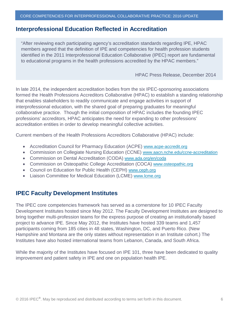### **Interprofessional Education Reflected in Accreditation**

"After reviewing each participating agency's accreditation standards regarding IPE, HPAC members agreed that the definition of IPE and competencies for health profession students identified in the 2011 Interprofessional Education Collaborative (IPEC) report are fundamental to educational programs in the health professions accredited by the HPAC members."

HPAC Press Release, December 2014

In late 2014, the independent accreditation bodies from the six IPEC-sponsoring associations formed the Health Professions Accreditors Collaborative (HPAC) to establish a standing relationship that enables stakeholders to readily communicate and engage activities in support of interprofessional education, with the shared goal of preparing graduates for meaningful collaborative practice. Though the initial composition of HPAC includes the founding IPEC professions' accreditors, HPAC anticipates the need for expanding to other professions' accreditation entities in order to develop meaningful collective activities.

Current members of the Health Professions Accreditors Collaborative (HPAC) include:

- Accreditation Council for Pharmacy Education (ACPE) [www.acpe-accredit.org](http://www.acpe-accredit.org/)
- Commission on Collegiate Nursing Education (CCNE) [www.aacn.nche.edu/ccne-accreditation](http://www.aacn.nche.edu/ccne-accreditation)
- Commission on Dental Accreditation (CODA) [www.ada.org/en/coda](http://www.ada.org/en/coda)
- Commission on Osteopathic College Accreditation (COCA) [www.osteopathic.org](http://www.osteopathic.org/)
- Council on Education for Public Health (CEPH) [www.ceph.org](http://www.ceph.org/)
- Liaison Committee for Medical Education (LCME) [www.lcme.org](http://www.lcme.org/)

### **IPEC Faculty Development Institutes**

The IPEC core competencies framework has served as a cornerstone for 10 IPEC Faculty Development Institutes hosted since May 2012. The Faculty Development Institutes are designed to bring together multi-profession teams for the express purpose of creating an institutionally based project to advance IPE. Since May 2012, the Institutes have hosted 339 teams and 1,457 participants coming from 185 cities in 48 states, Washington, DC, and Puerto Rico. (New Hampshire and Montana are the only states without representation in an Institute cohort.) The Institutes have also hosted international teams from Lebanon, Canada, and South Africa.

While the majority of the Institutes have focused on IPE 101, three have been dedicated to quality improvement and patient safety in IPE and one on population health IPE.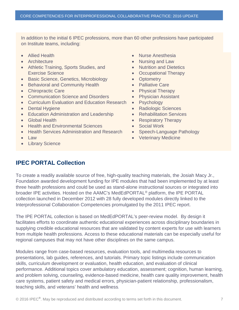<span id="page-9-0"></span>In addition to the initial 6 IPEC professions, more than 60 other professions have participated on Institute teams, including:

- **Allied Health**
- Architecture
- Athletic Training, Sports Studies, and Exercise Science
- Basic Science, Genetics, Microbiology
- Behavioral and Community Health
- Chiropractic Care
- Communication Science and Disorders
- Curriculum Evaluation and Education Research
- Dental Hygiene
- Education Administration and Leadership
- Global Health
- Health and Environmental Sciences
- Health Services Administration and Research
- Law
- **Library Science**
- Nurse Anesthesia
- Nursing and Law
- Nutrition and Dietetics
- Occupational Therapy
- Optometry
- Palliative Care
- Physical Therapy
- Physician Assistant
- Psychology
- Radiologic Sciences
- Rehabilitation Services
- Respiratory Therapy
- Social Work
- Speech-Language Pathology
- Veterinary Medicine

### <span id="page-9-1"></span>**IPEC PORTAL Collection**

To create a readily available source of free, high-quality teaching materials, the Josiah Macy Jr., Foundation awarded development funding for IPE modules that had been implemented by at least three health professions and could be used as stand-alone instructional sources or integrated into broader IPE activities. Hosted on the AAMC's MedEdPORTAL® platform, the IPE PORTAL collection launched in December 2012 with 28 fully developed modules directly linked to the Interprofessional Collaboration Competencies promulgated by the 2011 IPEC report.

The IPE PORTAL collection is based on MedEdPORTAL's peer-review model. By design it facilitates efforts to coordinate authentic educational experiences across disciplinary boundaries in supplying credible educational resources that are validated by content experts for use with learners from multiple health professions. Access to these educational materials can be especially useful for regional campuses that may not have other disciplines on the same campus.

Modules range from case-based resources, evaluation tools, and multimedia resources to presentations, lab guides, references, and tutorials. Primary topic listings include communication skills, curriculum development or evaluation, health education, and evaluation of clinical performance. Additional topics cover ambulatory education, assessment; cognition, human learning, and problem solving, counseling, evidence-based medicine, health care quality improvement, health care systems, patient safety and medical errors, physician-patient relationship, professionalism, teaching skills, and veterans' health and wellness.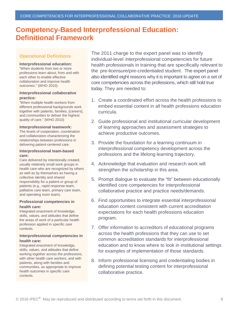## <span id="page-10-0"></span>**Competency-Based Interprofessional Education: Definitional Framework**

#### **Operational Definitions**

#### **Interprofessional education:**

"When students from two or more professions learn about, from and with each other to enable effective collaboration and improve health outcomes." (WHO 2010)

#### **Interprofessional collaborative practice:**

"When multiple health workers from different professional backgrounds work together with patients, families, [careers], and communities to deliver the highest quality of care." (WHO 2010)

#### **Interprofessional teamwork:**

The levels of cooperation, coordination and collaboration characterizing the relationships between professions in delivering patient-centered care.

#### **Interprofessional team-based care:**

Care delivered by intentionally created, usually relatively small work groups in health care who are recognized by others as well as by themselves as having a collective identity and shared responsibility for a patient or group of patients (e.g., rapid response team, palliative care team, primary care team, and operating room team).

#### **Professional competencies in health care:**

Integrated enactment of knowledge, skills, values, and attitudes that define the areas of work of a particular health profession applied in specific care contexts.

#### **Interprofessional competencies in health care:**

Integrated enactment of knowledge, skills, values, and attitudes that define working together across the professions, with other health care workers, and with patients, along with families and communities, as appropriate to improve health outcomes in specific care contexts.

The 2011 charge to the expert panel was to identify individual-level interprofessional competencies for future health professionals in training that are specifically relevant to the pre-licensure/pre-credentialed student. The expert panel also identified eight reasons why it is important to agree on a set of core competencies across the professions, which still hold true today. They are needed to:

- 1. Create a coordinated effort across the health professions to embed essential content in all health professions education curricula.
- 2. Guide professional and institutional curricular development of learning approaches and assessment strategies to achieve productive outcomes.
- 3. Provide the foundation for a learning continuum in interprofessional competency development across the professions and the lifelong learning trajectory.
- 4. Acknowledge that evaluation and research work will strengthen the scholarship in this area.
- 5. Prompt dialogue to evaluate the "fit" between educationally identified core competencies for interprofessional collaborative practice and practice needs/demands.
- 6. Find opportunities to integrate essential interprofessional education content consistent with current accreditation expectations for each health professions education program.
- 7. Offer information to accreditors of educational programs across the health professions that they can use to set common accreditation standards for interprofessional education and to know where to look in institutional settings for examples of implementation of those standards.
- 8. Inform professional licensing and credentialing bodies in defining potential testing content for interprofessional collaborative practice.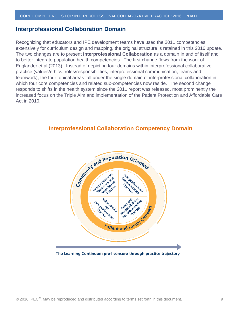### <span id="page-11-0"></span>**Interprofessional Collaboration Domain**

Recognizing that educators and IPE development teams have used the 2011 competencies extensively for curriculum design and mapping, the original structure is retained in this 2016 update. The two changes are to present **Interprofessional Collaboration** as a domain in and of itself and to better integrate population health competencies. The first change flows from the work of Englander et al (2013). Instead of depicting four domains within interprofessional collaborative practice (values/ethics, roles/responsibilities, interprofessional communication, teams and teamwork), the four topical areas fall under the single domain of interprofessional collaboration in which four core competencies and related sub-competencies now reside. The second change responds to shifts in the health system since the 2011 report was released, most prominently the increased focus on the Triple Aim and implementation of the Patient Protection and Affordable Care Act in 2010.

### **Interprofessional Collaboration Competency Domain**



#### The Learning Continuum pre-licensure through practice trajectory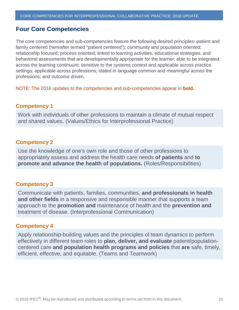### <span id="page-12-0"></span>**Four Core Competencies**

The core competencies and sub-competencies feature the following desired principles: patient and family centered (hereafter termed "patient centered"); community and population oriented; relationship focused; process oriented; linked to learning activities, educational strategies, and behavioral assessments that are developmentally appropriate for the learner; able to be integrated across the learning continuum; sensitive to the systems context and applicable across practice settings; applicable across professions; stated in language common and meaningful across the professions; and outcome driven.

NOTE: The 2016 updates to the competencies and sub-competencies appear in **bold.**

### **Competency 1**

Work with individuals of other professions to maintain a climate of mutual respect and shared values. (Values/Ethics for Interprofessional Practice)

#### **Competency 2**

Use the knowledge of one's own role and those of other professions to appropriately assess and address the health care needs **of patients** and **to promote and advance the health of populations.** (Roles/Responsibilities)

### **Competency 3**

Communicate with patients, families, communities, **and professionals in health and other fields** in a responsive and responsible manner that supports a team approach to the **promotion and** maintenance of health and the **prevention and** treatment of disease. (Interprofessional Communication)

#### **Competency 4**

<span id="page-12-1"></span>Apply relationship-building values and the principles of team dynamics to perform effectively in different team roles to **plan, deliver, and evaluate** patient/populationcentered care **and population health programs and policies** that **are** safe, timely, efficient, effective, and equitable. (Teams and Teamwork)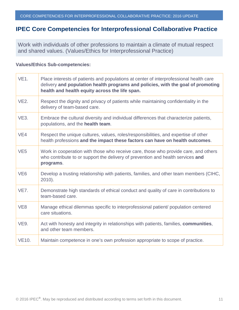## **IPEC Core Competencies for Interprofessional Collaborative Practice**

Work with individuals of other professions to maintain a climate of mutual respect and shared values. (Values/Ethics for Interprofessional Practice)

#### **Values/Ethics Sub-competencies:**

| VE1.              | Place interests of patients and populations at center of interprofessional health care<br>delivery and population health programs and policies, with the goal of promoting<br>health and health equity across the life span. |
|-------------------|------------------------------------------------------------------------------------------------------------------------------------------------------------------------------------------------------------------------------|
| VE2.              | Respect the dignity and privacy of patients while maintaining confidentiality in the<br>delivery of team-based care.                                                                                                         |
| VE <sub>3</sub> . | Embrace the cultural diversity and individual differences that characterize patients,<br>populations, and the health team.                                                                                                   |
| VE4               | Respect the unique cultures, values, roles/responsibilities, and expertise of other<br>health professions and the impact these factors can have on health outcomes.                                                          |
| VE <sub>5</sub>   | Work in cooperation with those who receive care, those who provide care, and others<br>who contribute to or support the delivery of prevention and health services and<br>programs.                                          |
| VE <sub>6</sub>   | Develop a trusting relationship with patients, families, and other team members (CIHC,<br>$2010$ ).                                                                                                                          |
| <b>VE7.</b>       | Demonstrate high standards of ethical conduct and quality of care in contributions to<br>team-based care.                                                                                                                    |
| VE <sub>8</sub>   | Manage ethical dilemmas specific to interprofessional patient/ population centered<br>care situations.                                                                                                                       |
| <b>VE9.</b>       | Act with honesty and integrity in relationships with patients, families, communities,<br>and other team members.                                                                                                             |
| <b>VE10.</b>      | Maintain competence in one's own profession appropriate to scope of practice.                                                                                                                                                |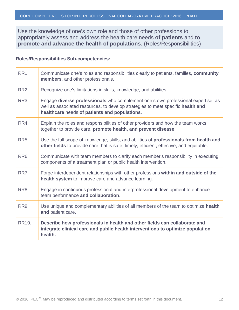Use the knowledge of one's own role and those of other professions to appropriately assess and address the health care needs **of patients** and **to promote and advance the health of populations.** (Roles/Responsibilities)

#### **Roles/Responsibilities Sub-competencies:**

| RR <sub>1</sub> . | Communicate one's roles and responsibilities clearly to patients, families, community<br>members, and other professionals.                                                                                           |
|-------------------|----------------------------------------------------------------------------------------------------------------------------------------------------------------------------------------------------------------------|
| <b>RR2.</b>       | Recognize one's limitations in skills, knowledge, and abilities.                                                                                                                                                     |
| <b>RR3.</b>       | Engage diverse professionals who complement one's own professional expertise, as<br>well as associated resources, to develop strategies to meet specific health and<br>healthcare needs of patients and populations. |
| RR4.              | Explain the roles and responsibilities of other providers and how the team works<br>together to provide care, promote health, and prevent disease.                                                                   |
| <b>RR5.</b>       | Use the full scope of knowledge, skills, and abilities of professionals from health and<br>other fields to provide care that is safe, timely, efficient, effective, and equitable.                                   |
| RR <sub>6</sub> . | Communicate with team members to clarify each member's responsibility in executing<br>components of a treatment plan or public health intervention.                                                                  |
| RR7.              | Forge interdependent relationships with other professions within and outside of the<br>health system to improve care and advance learning.                                                                           |
| RR8.              | Engage in continuous professional and interprofessional development to enhance<br>team performance and collaboration.                                                                                                |
| <b>RR9.</b>       | Use unique and complementary abilities of all members of the team to optimize health<br>and patient care.                                                                                                            |
| <b>RR10.</b>      | Describe how professionals in health and other fields can collaborate and<br>integrate clinical care and public health interventions to optimize population<br>health.                                               |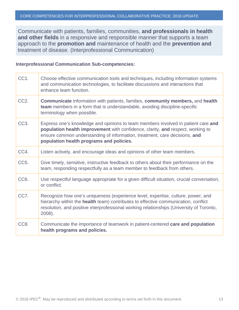Communicate with patients, families, communities, **and professionals in health and other fields** in a responsive and responsible manner that supports a team approach to the **promotion and** maintenance of health and the **prevention and** treatment of disease. (Interprofessional Communication)

#### **Interprofessional Communication Sub-competencies:**

| CC1.              | Choose effective communication tools and techniques, including information systems<br>and communication technologies, to facilitate discussions and interactions that<br>enhance team function.                                                                                                |
|-------------------|------------------------------------------------------------------------------------------------------------------------------------------------------------------------------------------------------------------------------------------------------------------------------------------------|
| CC <sub>2</sub> . | <b>Communicate</b> information with patients, families, community members, and health<br>team members in a form that is understandable, avoiding discipline-specific<br>terminology when possible.                                                                                             |
| CC <sub>3</sub> . | Express one's knowledge and opinions to team members involved in patient care and<br>population health improvement with confidence, clarity, and respect, working to<br>ensure common understanding of information, treatment, care decisions, and<br>population health programs and policies. |
| CC4.              | Listen actively, and encourage ideas and opinions of other team members.                                                                                                                                                                                                                       |
| CC <sub>5</sub> . | Give timely, sensitive, instructive feedback to others about their performance on the<br>team, responding respectfully as a team member to feedback from others.                                                                                                                               |
| CC <sub>6</sub> . | Use respectful language appropriate for a given difficult situation, crucial conversation,<br>or conflict.                                                                                                                                                                                     |
| CC7.              | Recognize how one's uniqueness (experience level, expertise, culture, power, and<br>hierarchy within the health team) contributes to effective communication, conflict<br>resolution, and positive interprofessional working relationships (University of Toronto,<br>2008).                   |
| CC8.              | Communicate the importance of teamwork in patient-centered care and population<br>health programs and policies.                                                                                                                                                                                |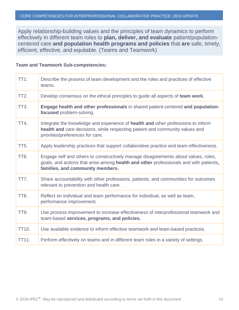Apply relationship-building values and the principles of team dynamics to perform effectively in different team roles to **plan, deliver, and evaluate** patient/populationcentered care **and population health programs and policies** that **are** safe, timely, efficient, effective, and equitable. (Teams and Teamwork)

#### **Team and Teamwork Sub-competencies:**

| TT1.              | Describe the process of team development and the roles and practices of effective<br>teams.                                                                                                                     |
|-------------------|-----------------------------------------------------------------------------------------------------------------------------------------------------------------------------------------------------------------|
| TT <sub>2</sub>   | Develop consensus on the ethical principles to guide all aspects of team work.                                                                                                                                  |
| TT3.              | Engage health and other professionals in shared patient-centered and population-<br>focused problem-solving.                                                                                                    |
| TT4.              | Integrate the knowledge and experience of health and other professions to inform<br>health and care decisions, while respecting patient and community values and<br>priorities/preferences for care.            |
| TT <sub>5</sub> . | Apply leadership practices that support collaborative practice and team effectiveness.                                                                                                                          |
| TT <sub>6</sub> . | Engage self and others to constructively manage disagreements about values, roles,<br>goals, and actions that arise among health and other professionals and with patients,<br>families, and community members. |
| TT7.              | Share accountability with other professions, patients, and communities for outcomes<br>relevant to prevention and health care.                                                                                  |
| TT8.              | Reflect on individual and team performance for individual, as well as team,<br>performance improvement.                                                                                                         |
| TT9.              | Use process improvement to increase effectiveness of interprofessional teamwork and<br>team-based services, programs, and policies.                                                                             |
| TT10.             | Use available evidence to inform effective teamwork and team-based practices.                                                                                                                                   |
| TT11.             | Perform effectively on teams and in different team roles in a variety of settings.                                                                                                                              |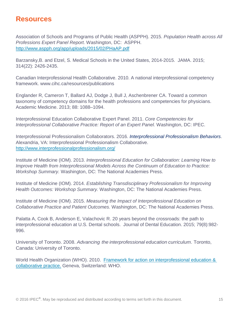## <span id="page-17-0"></span>**Resources**

Association of Schools and Programs of Public Health (ASPPH). 2015. *Population Health across All Professions Expert Panel Report.* Washington, DC: ASPPH. <http://www.aspph.org/app/uploads/2015/02/PHaAP.pdf>

Barzansky,B. and Etzel, S. Medical Schools in the United States, 2014-2015. JAMA. 2015; 314(22): 2426-2435.

Canadian Interprofessional Health Collaborative. 2010. A national interprofessional competency framework. www.cihc.ca/resources/publications

Englander R, Cameron T, Ballard AJ, Dodge J, Bull J, Aschenbrener CA. Toward a common taxonomy of competency domains for the health professions and competencies for physicians. Academic Medicine. 2013; 88: 1088–1094.

Interprofessional Education Collaborative Expert Panel. 2011. *Core Competencies for Interprofessional Collaborative Practice: Report of an Expert Panel.* Washington, DC: IPEC.

Interprofessional Professionalism Collaborators. 2016. *Interprofessional Professionalism Behaviors*. Alexandria, VA: Interprofessional Professionalism Collaborative. <http://www.interprofessionalprofessionalism.org/>

Institute of Medicine (IOM). 2013. *Interprofessional Education for Collaboration: Learning How to Improve Health from Interprofessional Models Across the Continuum of Education to Practice: Workshop Summary.* Washington, DC: The National Academies Press.

Institute of Medicine (IOM). 2014. *Establishing Transdisciplinary Professionalism for Improving Health Outcomes: Workshop Summary.* Washington, DC: The National Academies Press.

Institute of Medicine (IOM). 2015. *Measuring the Impact of Interprofessional Education on Collaborative Practice and Patient Outcomes.* Washington, DC: The National Academies Press.

Palatta A, Cook B, Anderson E, Valachovic R. 20 years beyond the crossroads: the path to interprofessional education at U.S. Dental schools. Journal of Dental Education. 2015; 79(8):982- 996.

University of Toronto. 2008. *Advancing the interprofessional education curriculum*. Toronto, Canada: University of Toronto.

World Health Organization (WHO). 2010. Framework for action on interprofessional education & [collaborative practice.](http://whqlibdoc.who.int/hq/2010/WHO_HRH_HPN_10.3_eng.pdf) Geneva, Switzerland: WHO.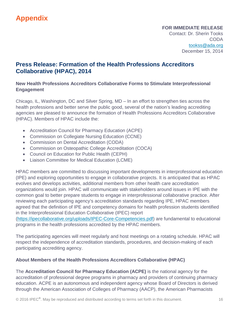## <span id="page-18-0"></span>**Appendix**

#### **FOR IMMEDIATE RELEASE**  Contact: Dr. Sherin Tooks **CODA** [tookss@ada.org](mailto:tookss@ada.org) December 15, 2014

## <span id="page-18-1"></span>**Press Release: Formation of the Health Professions Accreditors Collaborative (HPAC), 2014**

#### **New Health Professions Accreditors Collaborative Forms to Stimulate Interprofessional Engagement**

Chicago, IL, Washington, DC and Silver Spring, MD – In an effort to strengthen ties across the health professions and better serve the public good, several of the nation's leading accrediting agencies are pleased to announce the formation of Health Professions Accreditors Collaborative (HPAC). Members of HPAC include the:

- Accreditation Council for Pharmacy Education (ACPE)
- Commission on Collegiate Nursing Education (CCNE)
- Commission on Dental Accreditation (CODA)
- Commission on Osteopathic College Accreditation (COCA)
- Council on Education for Public Health (CEPH)
- Liaison Committee for Medical Education (LCME)

HPAC members are committed to discussing important developments in interprofessional education (IPE) and exploring opportunities to engage in collaborative projects. It is anticipated that as HPAC evolves and develops activities, additional members from other health care accreditation organizations would join. HPAC will communicate with stakeholders around issues in IPE with the common goal to better prepare students to engage in interprofessional collaborative practice. After reviewing each participating agency's accreditation standards regarding IPE, HPAC members agreed that the definition of IPE and competency domains for health profession students identified in the Interprofessional Education Collaborative (IPEC) report [\(https://ipecollaborative.org/uploads/IPEC-Core-Competencies.pdf\)](https://ipecollaborative.org/uploads/IPEC-Core-Competencies.pdf) are fundamental to educational

programs in the health professions accredited by the HPAC members.

The participating agencies will meet regularly and host meetings on a rotating schedule. HPAC will respect the independence of accreditation standards, procedures, and decision-making of each participating accrediting agency.

### **About Members of the Health Professions Accreditors Collaborative (HPAC)**

The **Accreditation Council for Pharmacy Education (ACPE)** is the national agency for the accreditation of professional degree programs in pharmacy and providers of continuing pharmacy education. ACPE is an autonomous and independent agency whose Board of Directors is derived through the American Association of Colleges of Pharmacy (AACP), the American Pharmacists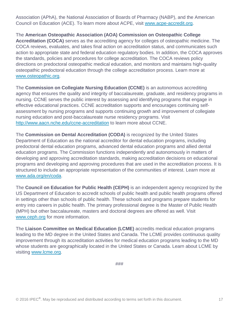Association (APhA), the National Association of Boards of Pharmacy (NABP), and the American Council on Education (ACE). To learn more about ACPE, visit [www.acpe-accredit.org.](http://www.acpe-accredit.org/)

The **American Osteopathic Association (AOA) Commission on Osteopathic College** 

**Accreditation (COCA)** serves as the accrediting agency for colleges of osteopathic medicine. The COCA reviews, evaluates, and takes final action on accreditation status, and communicates such action to appropriate state and federal education regulatory bodies. In addition, the COCA approves the standards, policies and procedures for college accreditation. The COCA reviews policy directions on predoctoral osteopathic medical education, and monitors and maintains high-quality osteopathic predoctoral education through the college accreditation process. Learn more at [www.osteopathic.org.](http://www.osteopathic.org/)

The **Commission on Collegiate Nursing Education (CCNE)** is an autonomous accrediting agency that ensures the quality and integrity of baccalaureate, graduate, and residency programs in nursing. CCNE serves the public interest by assessing and identifying programs that engage in effective educational practices. CCNE accreditation supports and encourages continuing selfassessment by nursing programs and supports continuing growth and improvement of collegiate nursing education and post-baccalaureate nurse residency programs. Visit <http://www.aacn.nche.edu/ccne-accreditation> to learn more about CCNE.

The **Commission on Dental Accreditation (CODA)** is recognized by the United States Department of Education as the national accreditor for dental education programs, including predoctoral dental education programs, advanced dental education programs and allied dental education programs. The Commission functions independently and autonomously in matters of developing and approving accreditation standards, making accreditation decisions on educational programs and developing and approving procedures that are used in the accreditation process. It is structured to include an appropriate representation of the communities of interest. Learn more at [www.ada.org/en/coda.](http://www.ada.org/en/coda)

The **Council on Education for Public Health (CEPH)** is an independent agency recognized by the US Department of Education to accredit schools of public health and public health programs offered in settings other than schools of public health. These schools and programs prepare students for entry into careers in public health. The primary professional degree is the Master of Public Health (MPH) but other baccalaureate, masters and doctoral degrees are offered as well. Visit [www.ceph.org](http://www.ceph.org/) for more information.

The **Liaison Committee on Medical Education (LCME)** accredits medical education programs leading to the MD degree in the United States and Canada. The LCME provides continuous quality improvement through its accreditation activities for medical education programs leading to the MD whose students are geographically located in the United States or Canada. Learn about LCME by visiting [www.lcme.org.](http://www.lcme.org/)

###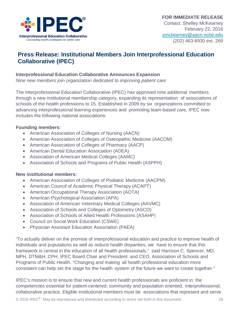

## <span id="page-20-0"></span>**Press Release: Institutional Members Join Interprofessional Education Collaborative (IPEC)**

#### **Interprofessional Education Collaborative Announces Expansion**

*Nine new members join organization dedicated to improving patient care*

The Interprofessional Education Collaborative (IPEC) has approved nine additional members through a new institutional membership category, expanding its representation of associations of schools of the health professions to 15. Established in 2009 by six organizations committed to advancing interprofessional learning experiences and promoting team-based care, IPEC now includes the following national associations:

#### **Founding members:**

- American Association of Colleges of Nursing (AACN)
- American Association of Colleges of Osteopathic Medicine (AACOM)
- American Association of Colleges of Pharmacy (AACP)
- American Dental Education Association (ADEA)
- Association of American Medical Colleges (AAMC)
- Association of Schools and Programs of Public Health (ASPPH)

#### **New institutional members:**

- American Association of Colleges of Podiatric Medicine (AACPM)
- American Council of Academic Physical Therapy (ACAPT)
- American Occupational Therapy Association (AOTA)
- American Psychological Association (APA)
- Association of American Veterinary Medical Colleges (AAVMC)
- Association of Schools and Colleges of Optometry (ASCO)
- Association of Schools of Allied Health Professions (ASAHP)
- Council on Social Work Education (CSWE)
- Physician Assistant Education Association (PAEA)

"To actually deliver on the promise of interprofessional education and practice to improve health of individuals and populations as well as reduce health disparities, we have to ensure that this framework is central in the education of all health professionals," said Harrison C. Spencer, MD, MPH, DTM&H, CPH, IPEC Board Chair and President and CEO, Association of Schools and Programs of Public Health. "Changing and making all health professional education more consistent can help set the stage for the health system of the future we want to create together."

IPEC's mission is to ensure that new and current health professionals are proficient in the competencies essential for patient-centered, community and population oriented, interprofessional, collaborative practice. Eligible institutional members must be associations that represent and serve